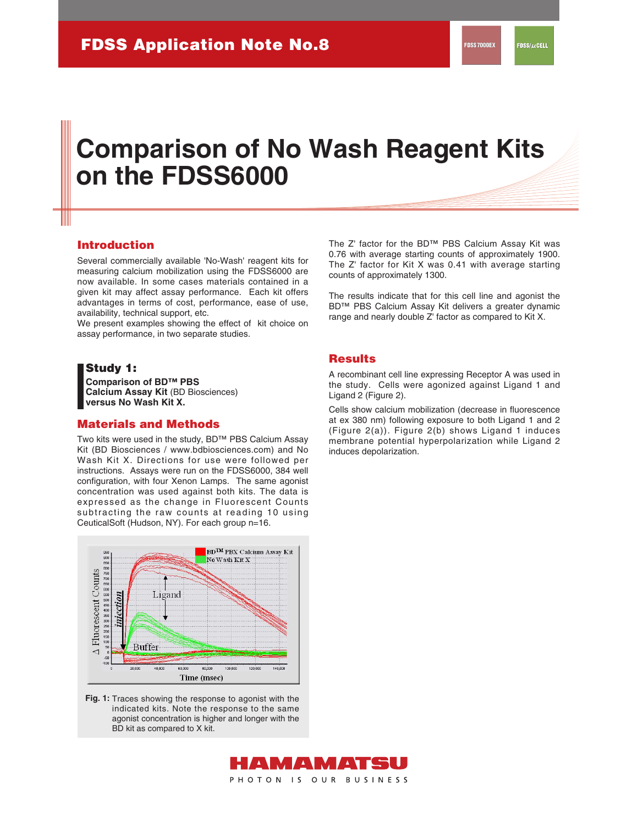# **Comparison of No Wash Reagent Kits on the FDSS6000**

### **Introduction**

Several commercially available 'No-Wash' reagent kits for measuring calcium mobilization using the FDSS6000 are now available. In some cases materials contained in a given kit may affect assay performance. Each kit offers advantages in terms of cost, performance, ease of use, availability, technical support, etc.

We present examples showing the effect of kit choice on assay performance, in two separate studies.

### **Study 1:**

**Comparison of BD™ PBS Calcium Assay Kit** (BD Biosciences) **versus No Wash Kit X.**

# **Materials and Methods**

Two kits were used in the study, BD™ PBS Calcium Assay Kit (BD Biosciences / www.bdbiosciences.com) and No Wash Kit X. Directions for use were followed per instructions. Assays were run on the FDSS6000, 384 well configuration, with four Xenon Lamps. The same agonist concentration was used against both kits. The data is expressed as the change in Fluorescent Counts subtracting the raw counts at reading 10 using CeuticalSoft (Hudson, NY). For each group n=16.



Fig. 1: Traces showing the response to agonist with the indicated kits. Note the response to the same agonist concentration is higher and longer with the BD kit as compared to X kit.

The Z' factor for the BD™ PBS Calcium Assay Kit was 0.76 with average starting counts of approximately 1900. The Z' factor for Kit X was 0.41 with average starting counts of approximately 1300.

The results indicate that for this cell line and agonist the BD™ PBS Calcium Assay Kit delivers a greater dynamic range and nearly double Z' factor as compared to Kit X.

### **Results**

A recombinant cell line expressing Receptor A was used in the study. Cells were agonized against Ligand 1 and Ligand 2 (Figure 2).

Cells show calcium mobilization (decrease in fluorescence at ex 380 nm) following exposure to both Ligand 1 and 2 (Figure 2(a)). Figure 2(b) shows Ligand 1 induces membrane potential hyperpolarization while Ligand 2 induces depolarization.